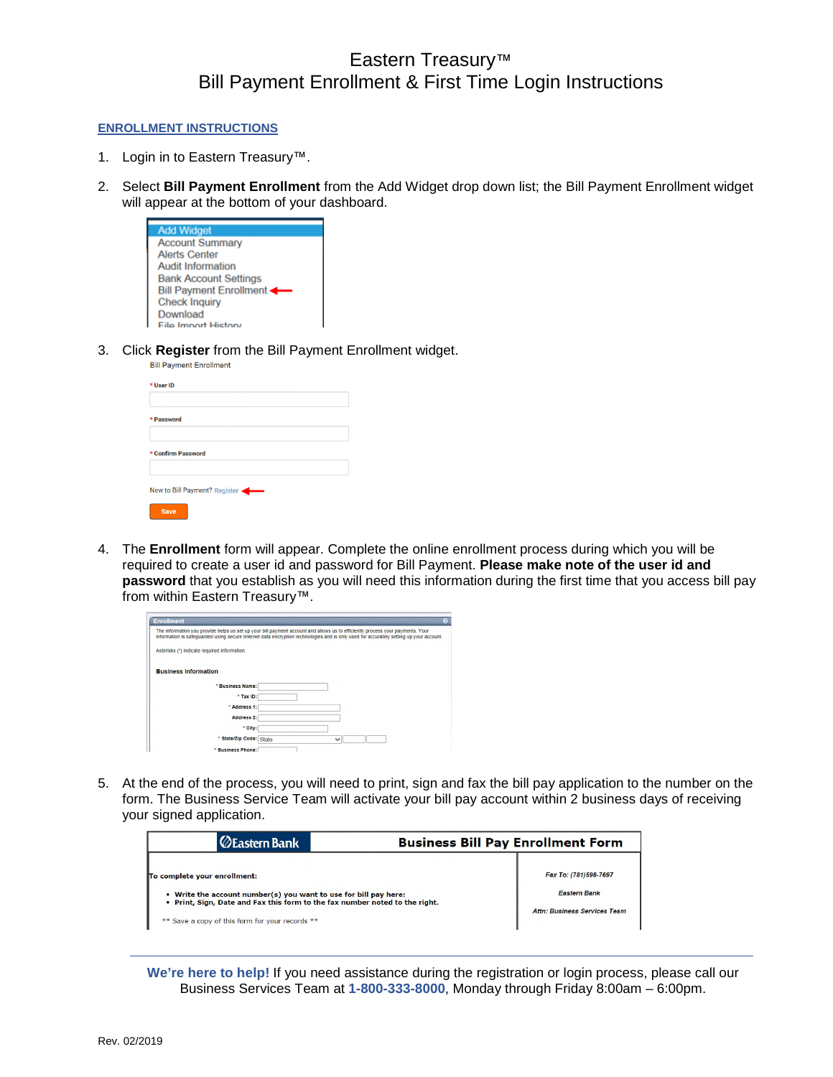## Eastern Treasury™ Bill Payment Enrollment & First Time Login Instructions

## **ENROLLMENT INSTRUCTIONS**

- 1. Login in to Eastern Treasury™.
- 2. Select **Bill Payment Enrollment** from the Add Widget drop down list; the Bill Payment Enrollment widget will appear at the bottom of your dashboard.

| <b>Add Widget</b>            |
|------------------------------|
| <b>Account Summary</b>       |
| <b>Alerts Center</b>         |
| <b>Audit Information</b>     |
| <b>Bank Account Settings</b> |
| Bill Payment Enrollment      |
| <b>Check Inquiry</b>         |
| Download                     |
| <b>File Import History</b>   |

3. Click **Register** from the Bill Payment Enrollment widget.

| * User ID                     |  |  |  |
|-------------------------------|--|--|--|
| * Password                    |  |  |  |
| * Confirm Password            |  |  |  |
| New to Bill Payment? Register |  |  |  |
| <b>Save</b>                   |  |  |  |

4. The **Enrollment** form will appear. Complete the online enrollment process during which you will be required to create a user id and password for Bill Payment. **Please make note of the user id and password** that you establish as you will need this information during the first time that you access bill pay from within Eastern Treasury™.

| <b>Enrollment</b>                                                                                                                                                                                                                                                        | $\bullet$ |
|--------------------------------------------------------------------------------------------------------------------------------------------------------------------------------------------------------------------------------------------------------------------------|-----------|
| The information you provide helps us set up your bill payment account and allows us to efficiently process your payments. Your<br>information is safeguarded using secure Internet data encryption technologies and is only used for accurately setting up your account. |           |
| Asterisks (*) indicate required information.                                                                                                                                                                                                                             |           |
| <b>Business Information</b>                                                                                                                                                                                                                                              |           |
| *Business Name:                                                                                                                                                                                                                                                          |           |
| * Tax ID:                                                                                                                                                                                                                                                                |           |
| * Address 1:                                                                                                                                                                                                                                                             |           |
| Address 2:                                                                                                                                                                                                                                                               |           |
| * City:                                                                                                                                                                                                                                                                  |           |
| * State/Zip Code: State<br>$\checkmark$                                                                                                                                                                                                                                  |           |
| * Business Phone:                                                                                                                                                                                                                                                        |           |

5. At the end of the process, you will need to print, sign and fax the bill pay application to the number on the form. The Business Service Team will activate your bill pay account within 2 business days of receiving your signed application.

| <b>ZEastern Bank</b>                                                                                                                            | <b>Business Bill Pay Enrollment Form</b> |
|-------------------------------------------------------------------------------------------------------------------------------------------------|------------------------------------------|
| To complete your enrollment:                                                                                                                    | Fax To: (781)598-7697                    |
| . Write the account number(s) you want to use for bill pay here:<br>. Print, Sign, Date and Fax this form to the fax number noted to the right. | <b>Eastern Bank</b>                      |
| ** Save a copy of this form for your records **                                                                                                 | <b>Attn: Business Services Team</b>      |

**We're here to help!** If you need assistance during the registration or login process, please call our Business Services Team at **1-800-333-8000**, Monday through Friday 8:00am – 6:00pm.